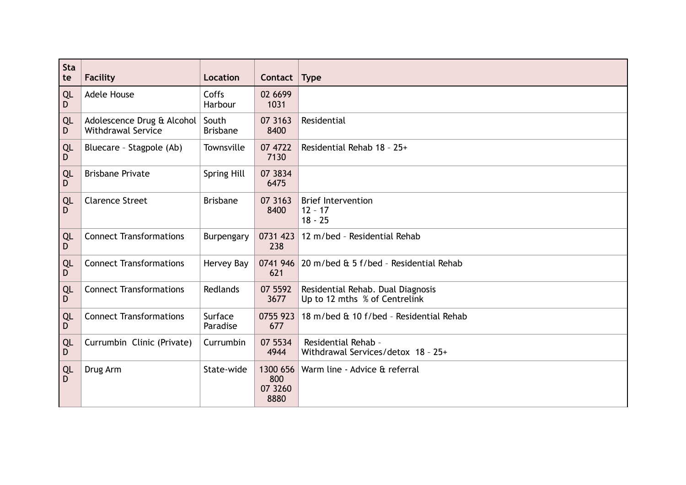| Sta<br>te | <b>Facility</b>                                         | <b>Location</b>          | Contact                            | <b>Type</b>                                                        |
|-----------|---------------------------------------------------------|--------------------------|------------------------------------|--------------------------------------------------------------------|
| QL<br>D   | <b>Adele House</b>                                      | Coffs<br>Harbour         | 02 6699<br>1031                    |                                                                    |
| QL<br>D   | Adolescence Drug & Alcohol<br><b>Withdrawal Service</b> | South<br><b>Brisbane</b> | 07 3163<br>8400                    | Residential                                                        |
| QL<br>D   | Bluecare - Stagpole (Ab)                                | Townsville               | 07 4722<br>7130                    | Residential Rehab 18 - 25+                                         |
| QL<br>D   | <b>Brisbane Private</b>                                 | <b>Spring Hill</b>       | 07 3834<br>6475                    |                                                                    |
| QL<br>D   | <b>Clarence Street</b>                                  | <b>Brisbane</b>          | 07 3163<br>8400                    | <b>Brief Intervention</b><br>$12 - 17$<br>$18 - 25$                |
| QL<br>D   | <b>Connect Transformations</b>                          | Burpengary               | 0731 423<br>238                    | 12 m/bed - Residential Rehab                                       |
| QL<br>D   | <b>Connect Transformations</b>                          | Hervey Bay               | 0741 946<br>621                    | 20 m/bed & 5 f/bed - Residential Rehab                             |
| QL<br>D   | <b>Connect Transformations</b>                          | Redlands                 | 07 5592<br>3677                    | Residential Rehab. Dual Diagnosis<br>Up to 12 mths % of Centrelink |
| QL<br>D   | <b>Connect Transformations</b>                          | Surface<br>Paradise      | 0755 923<br>677                    | 18 m/bed & 10 f/bed - Residential Rehab                            |
| QL<br>D   | Currumbin Clinic (Private)                              | Currumbin                | 07 5534<br>4944                    | Residential Rehab -<br>Withdrawal Services/detox 18 - 25+          |
| QL<br>D   | Drug Arm                                                | State-wide               | 1300 656<br>800<br>07 3260<br>8880 | Warm line - Advice & referral                                      |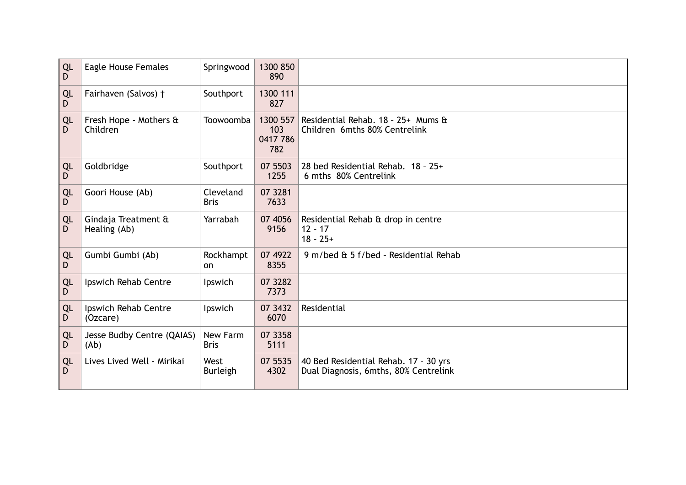| QL<br>D  | Eagle House Females                 | Springwood               | 1300 850<br>890                    |                                                                                |
|----------|-------------------------------------|--------------------------|------------------------------------|--------------------------------------------------------------------------------|
| QL<br>D  | Fairhaven (Salvos) †                | Southport                | 1300 111<br>827                    |                                                                                |
| QL<br>D  | Fresh Hope - Mothers &<br>Children  | Toowoomba                | 1300 557<br>103<br>0417 786<br>782 | Residential Rehab. 18 - 25+ Mums &<br>Children 6mths 80% Centrelink            |
| QL<br>D  | Goldbridge                          | Southport                | 07 5503<br>1255                    | 28 bed Residential Rehab. 18 - 25+<br>6 mths 80% Centrelink                    |
| QL<br>D  | Goori House (Ab)                    | Cleveland<br><b>Bris</b> | 07 3281<br>7633                    |                                                                                |
| QL<br>D. | Gindaja Treatment &<br>Healing (Ab) | Yarrabah                 | 07 4056<br>9156                    | Residential Rehab & drop in centre<br>$12 - 17$<br>$18 - 25+$                  |
| QL<br>D  | Gumbi Gumbi (Ab)                    | Rockhampt<br>on.         | 07 4922<br>8355                    | 9 m/bed & 5 f/bed - Residential Rehab                                          |
| QL<br>D  | Ipswich Rehab Centre                | Ipswich                  | 07 3282<br>7373                    |                                                                                |
| QL<br>D  | Ipswich Rehab Centre<br>(Ozcare)    | Ipswich                  | 07 3432<br>6070                    | Residential                                                                    |
| QL<br>D  | Jesse Budby Centre (QAIAS)<br>(Ab)  | New Farm<br><b>Bris</b>  | 07 3358<br>5111                    |                                                                                |
| QL<br>D  | Lives Lived Well - Mirikai          | West<br><b>Burleigh</b>  | 07 5535<br>4302                    | 40 Bed Residential Rehab. 17 - 30 yrs<br>Dual Diagnosis, 6mths, 80% Centrelink |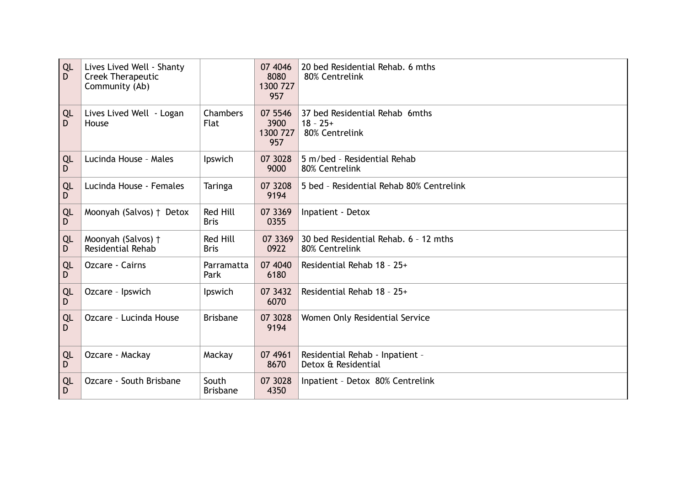| QL<br>D        | Lives Lived Well - Shanty<br><b>Creek Therapeutic</b><br>Community (Ab) |                                | 07 4046<br>8080<br>1300 727<br>957 | 20 bed Residential Rehab. 6 mths<br>80% Centrelink             |
|----------------|-------------------------------------------------------------------------|--------------------------------|------------------------------------|----------------------------------------------------------------|
| QL<br>D        | Lives Lived Well - Logan<br>House                                       | Chambers<br><b>Flat</b>        | 07 5546<br>3900<br>1300 727<br>957 | 37 bed Residential Rehab 6mths<br>$18 - 25+$<br>80% Centrelink |
| QL<br>D        | Lucinda House - Males                                                   | Ipswich                        | 07 3028<br>9000                    | 5 m/bed - Residential Rehab<br>80% Centrelink                  |
| QL<br>D        | Lucinda House - Females                                                 | Taringa                        | 07 3208<br>9194                    | 5 bed - Residential Rehab 80% Centrelink                       |
| QL<br>D        | Moonyah (Salvos) † Detox                                                | <b>Red Hill</b><br><b>Bris</b> | 07 3369<br>0355                    | Inpatient - Detox                                              |
| QL<br>D        | Moonyah (Salvos) †<br>Residential Rehab                                 | Red Hill<br><b>Bris</b>        | 07 3369<br>0922                    | 30 bed Residential Rehab. 6 - 12 mths<br>80% Centrelink        |
| <b>QL</b><br>D | Ozcare - Cairns                                                         | Parramatta<br>Park             | 07 4040<br>6180                    | Residential Rehab 18 - 25+                                     |
| QL<br>D        | Ozcare - Ipswich                                                        | Ipswich                        | 07 3432<br>6070                    | Residential Rehab 18 - 25+                                     |
| QL<br>D        | Ozcare - Lucinda House                                                  | <b>Brisbane</b>                | 07 3028<br>9194                    | Women Only Residential Service                                 |
| QL<br>D        | Ozcare - Mackay                                                         | Mackay                         | 07 49 61<br>8670                   | Residential Rehab - Inpatient -<br>Detox & Residential         |
| QL<br>D        | Ozcare - South Brisbane                                                 | South<br><b>Brisbane</b>       | 07 3028<br>4350                    | Inpatient - Detox 80% Centrelink                               |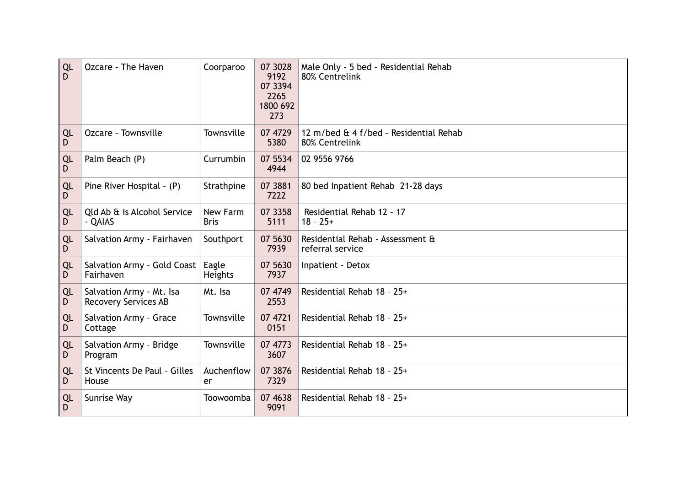| QL<br>D | Ozcare - The Haven                                      | Coorparoo               | 07 3028<br>9192<br>07 3394<br>2265<br>1800 692<br>273 | Male Only - 5 bed - Residential Rehab<br>80% Centrelink  |
|---------|---------------------------------------------------------|-------------------------|-------------------------------------------------------|----------------------------------------------------------|
| QL<br>D | Ozcare - Townsville                                     | Townsville              | 07 4729<br>5380                                       | 12 m/bed & 4 f/bed - Residential Rehab<br>80% Centrelink |
| QL<br>D | Palm Beach (P)                                          | Currumbin               | 07 5534<br>4944                                       | 02 9556 9766                                             |
| QL<br>D | Pine River Hospital - (P)                               | Strathpine              | 07 3881<br>7222                                       | 80 bed Inpatient Rehab 21-28 days                        |
| QL<br>D | Old Ab & Is Alcohol Service<br>- QAIAS                  | New Farm<br><b>Bris</b> | 07 3358<br>5111                                       | Residential Rehab 12 - 17<br>$18 - 25+$                  |
| QL<br>D | Salvation Army - Fairhaven                              | Southport               | 07 5630<br>7939                                       | Residential Rehab - Assessment &<br>referral service     |
| QL<br>D | Salvation Army - Gold Coast<br>Fairhaven                | Eagle<br>Heights        | 07 5630<br>7937                                       | Inpatient - Detox                                        |
| QL<br>D | Salvation Army - Mt. Isa<br><b>Recovery Services AB</b> | Mt. Isa                 | 07 4749<br>2553                                       | Residential Rehab 18 - 25+                               |
| QL<br>D | Salvation Army - Grace<br>Cottage                       | Townsville              | 07 4721<br>0151                                       | Residential Rehab 18 - 25+                               |
| QL<br>D | Salvation Army - Bridge<br>Program                      | Townsville              | 07 4773<br>3607                                       | Residential Rehab 18 - 25+                               |
| QL<br>D | St Vincents De Paul - Gilles<br>House                   | Auchenflow<br>er        | 07 3876<br>7329                                       | Residential Rehab 18 - 25+                               |
| QL<br>D | Sunrise Way                                             | Toowoomba               | 07 4638<br>9091                                       | Residential Rehab 18 - 25+                               |